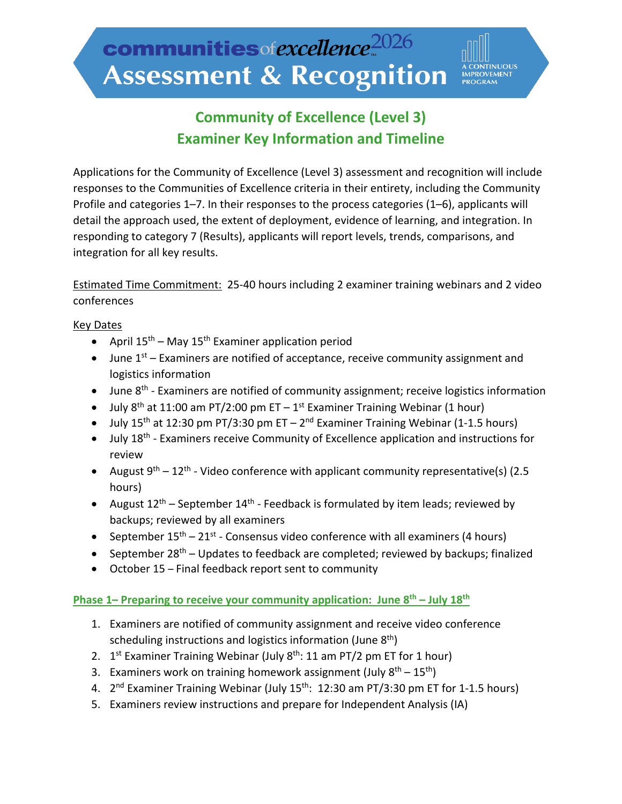**TINUOUS** <mark>IMPROVEMENT</mark><br>PROGRAM

# **Community of Excellence (Level 3) Examiner Key Information and Timeline**

Applications for the Community of Excellence (Level 3) assessment and recognition will include responses to the Communities of Excellence criteria in their entirety, including the Community Profile and categories 1–7. In their responses to the process categories (1–6), applicants will detail the approach used, the extent of deployment, evidence of learning, and integration. In responding to category 7 (Results), applicants will report levels, trends, comparisons, and integration for all key results.

Estimated Time Commitment: 25-40 hours including 2 examiner training webinars and 2 video conferences

### Key Dates

- April  $15^{th}$  May  $15^{th}$  Examiner application period
- June  $1<sup>st</sup>$  Examiners are notified of acceptance, receive community assignment and logistics information
- June  $8<sup>th</sup>$  Examiners are notified of community assignment; receive logistics information
- July  $8<sup>th</sup>$  at 11:00 am PT/2:00 pm ET 1<sup>st</sup> Examiner Training Webinar (1 hour)
- July 15<sup>th</sup> at 12:30 pm PT/3:30 pm ET 2<sup>nd</sup> Examiner Training Webinar (1-1.5 hours)
- July 18<sup>th</sup> Examiners receive Community of Excellence application and instructions for review
- August  $9^{th} 12^{th}$  Video conference with applicant community representative(s) (2.5 hours)
- August  $12^{th}$  September  $14^{th}$  Feedback is formulated by item leads; reviewed by backups; reviewed by all examiners
- September  $15^{th} 21^{st}$  Consensus video conference with all examiners (4 hours)
- September  $28<sup>th</sup>$  Updates to feedback are completed; reviewed by backups; finalized
- October 15 Final feedback report sent to community

### Phase 1– Preparing to receive your community application: June 8<sup>th</sup> – July 18<sup>th</sup>

- 1. Examiners are notified of community assignment and receive video conference scheduling instructions and logistics information (June  $8<sup>th</sup>$ )
- 2.  $1^{st}$  Examiner Training Webinar (July  $8^{th}$ : 11 am PT/2 pm ET for 1 hour)
- 3. Examiners work on training homework assignment (July  $8<sup>th</sup> 15<sup>th</sup>$ )
- 4.  $2^{nd}$  Examiner Training Webinar (July 15<sup>th</sup>: 12:30 am PT/3:30 pm ET for 1-1.5 hours)
- 5. Examiners review instructions and prepare for Independent Analysis (IA)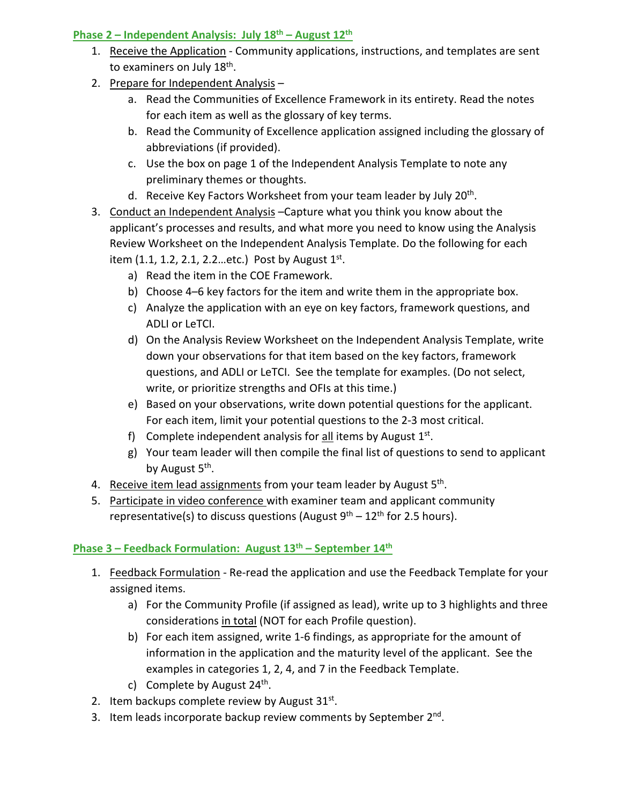## **Phase 2 – Independent Analysis: July 18th – August 12th**

- 1. Receive the Application Community applications, instructions, and templates are sent to examiners on July 18<sup>th</sup>.
- 2. Prepare for Independent Analysis
	- a. Read the Communities of Excellence Framework in its entirety. Read the notes for each item as well as the glossary of key terms.
	- b. Read the Community of Excellence application assigned including the glossary of abbreviations (if provided).
	- c. Use the box on page 1 of the Independent Analysis Template to note any preliminary themes or thoughts.
	- d. Receive Key Factors Worksheet from your team leader by July 20<sup>th</sup>.
- 3. Conduct an Independent Analysis –Capture what you think you know about the applicant's processes and results, and what more you need to know using the Analysis Review Worksheet on the Independent Analysis Template. Do the following for each item (1.1, 1.2, 2.1, 2.2. etc.) Post by August  $1^{st}$ .
	- a) Read the item in the COE Framework.
	- b) Choose 4–6 key factors for the item and write them in the appropriate box.
	- c) Analyze the application with an eye on key factors, framework questions, and ADLI or LeTCI.
	- d) On the Analysis Review Worksheet on the Independent Analysis Template, write down your observations for that item based on the key factors, framework questions, and ADLI or LeTCI. See the template for examples. (Do not select, write, or prioritize strengths and OFIs at this time.)
	- e) Based on your observations, write down potential questions for the applicant. For each item, limit your potential questions to the 2-3 most critical.
	- f) Complete independent analysis for all items by August  $1<sup>st</sup>$ .
	- g) Your team leader will then compile the final list of questions to send to applicant by August 5<sup>th</sup>.
- 4. Receive item lead assignments from your team leader by August  $5<sup>th</sup>$ .
- 5. Participate in video conference with examiner team and applicant community representative(s) to discuss questions (August  $9^{th}$  – 12<sup>th</sup> for 2.5 hours).

# Phase 3 – Feedback Formulation: August 13<sup>th</sup> – September 14<sup>th</sup>

- 1. Feedback Formulation Re-read the application and use the Feedback Template for your assigned items.
	- a) For the Community Profile (if assigned as lead), write up to 3 highlights and three considerations in total (NOT for each Profile question).
	- b) For each item assigned, write 1-6 findings, as appropriate for the amount of information in the application and the maturity level of the applicant. See the examples in categories 1, 2, 4, and 7 in the Feedback Template.
	- c) Complete by August  $24<sup>th</sup>$ .
- 2. Item backups complete review by August  $31^{st}$ .
- 3. Item leads incorporate backup review comments by September 2<sup>nd</sup>.